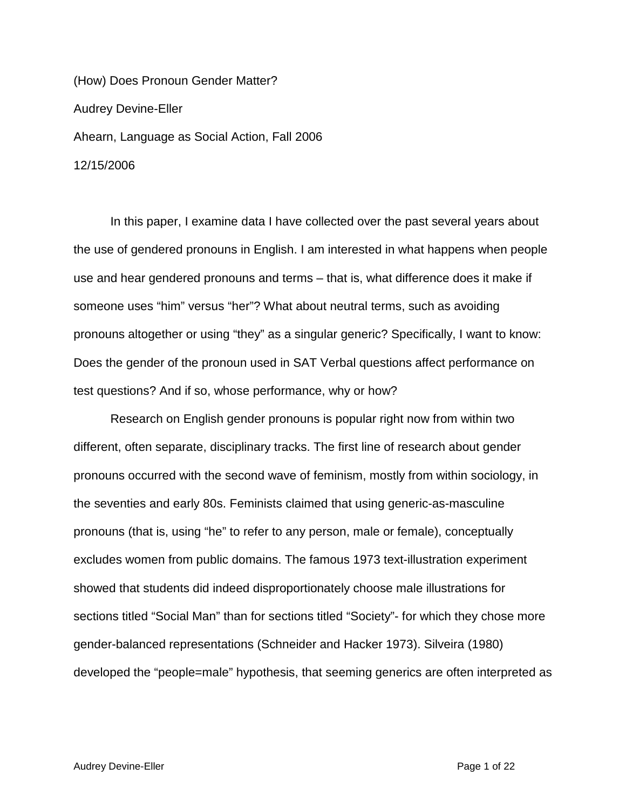(How) Does Pronoun Gender Matter? Audrey Devine-Eller Ahearn, Language as Social Action, Fall 2006 12/15/2006

In this paper, I examine data I have collected over the past several years about the use of gendered pronouns in English. I am interested in what happens when people use and hear gendered pronouns and terms – that is, what difference does it make if someone uses "him" versus "her"? What about neutral terms, such as avoiding pronouns altogether or using "they" as a singular generic? Specifically, I want to know: Does the gender of the pronoun used in SAT Verbal questions affect performance on test questions? And if so, whose performance, why or how?

Research on English gender pronouns is popular right now from within two different, often separate, disciplinary tracks. The first line of research about gender pronouns occurred with the second wave of feminism, mostly from within sociology, in the seventies and early 80s. Feminists claimed that using generic-as-masculine pronouns (that is, using "he" to refer to any person, male or female), conceptually excludes women from public domains. The famous 1973 text-illustration experiment showed that students did indeed disproportionately choose male illustrations for sections titled "Social Man" than for sections titled "Society"- for which they chose more gender-balanced representations (Schneider and Hacker 1973). Silveira (1980) developed the "people=male" hypothesis, that seeming generics are often interpreted as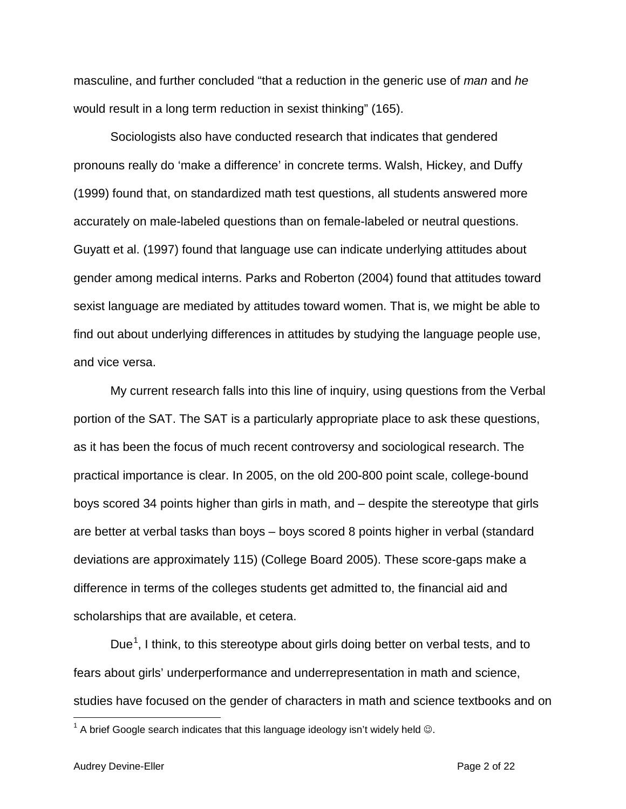masculine, and further concluded "that a reduction in the generic use of *man* and *he* would result in a long term reduction in sexist thinking" (165).

Sociologists also have conducted research that indicates that gendered pronouns really do 'make a difference' in concrete terms. Walsh, Hickey, and Duffy (1999) found that, on standardized math test questions, all students answered more accurately on male-labeled questions than on female-labeled or neutral questions. Guyatt et al. (1997) found that language use can indicate underlying attitudes about gender among medical interns. Parks and Roberton (2004) found that attitudes toward sexist language are mediated by attitudes toward women. That is, we might be able to find out about underlying differences in attitudes by studying the language people use, and vice versa.

My current research falls into this line of inquiry, using questions from the Verbal portion of the SAT. The SAT is a particularly appropriate place to ask these questions, as it has been the focus of much recent controversy and sociological research. The practical importance is clear. In 2005, on the old 200-800 point scale, college-bound boys scored 34 points higher than girls in math, and – despite the stereotype that girls are better at verbal tasks than boys – boys scored 8 points higher in verbal (standard deviations are approximately 115) (College Board 2005). These score-gaps make a difference in terms of the colleges students get admitted to, the financial aid and scholarships that are available, et cetera.

Due<sup>[1](#page-1-0)</sup>, I think, to this stereotype about girls doing better on verbal tests, and to fears about girls' underperformance and underrepresentation in math and science, studies have focused on the gender of characters in math and science textbooks and on

<span id="page-1-0"></span> $1$  A brief Google search indicates that this language ideology isn't widely held  $\odot$ .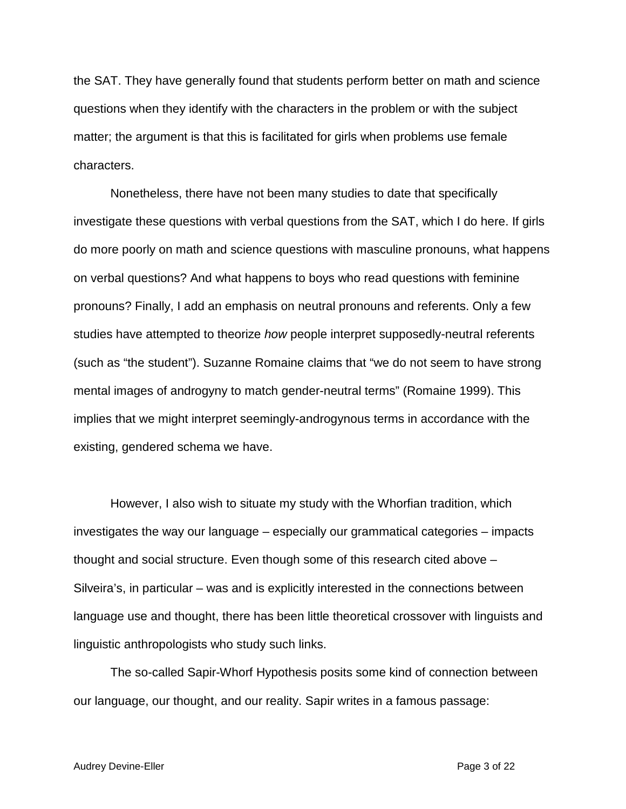the SAT. They have generally found that students perform better on math and science questions when they identify with the characters in the problem or with the subject matter; the argument is that this is facilitated for girls when problems use female characters.

Nonetheless, there have not been many studies to date that specifically investigate these questions with verbal questions from the SAT, which I do here. If girls do more poorly on math and science questions with masculine pronouns, what happens on verbal questions? And what happens to boys who read questions with feminine pronouns? Finally, I add an emphasis on neutral pronouns and referents. Only a few studies have attempted to theorize *how* people interpret supposedly-neutral referents (such as "the student"). Suzanne Romaine claims that "we do not seem to have strong mental images of androgyny to match gender-neutral terms" (Romaine 1999). This implies that we might interpret seemingly-androgynous terms in accordance with the existing, gendered schema we have.

However, I also wish to situate my study with the Whorfian tradition, which investigates the way our language – especially our grammatical categories – impacts thought and social structure. Even though some of this research cited above – Silveira's, in particular – was and is explicitly interested in the connections between language use and thought, there has been little theoretical crossover with linguists and linguistic anthropologists who study such links.

The so-called Sapir-Whorf Hypothesis posits some kind of connection between our language, our thought, and our reality. Sapir writes in a famous passage: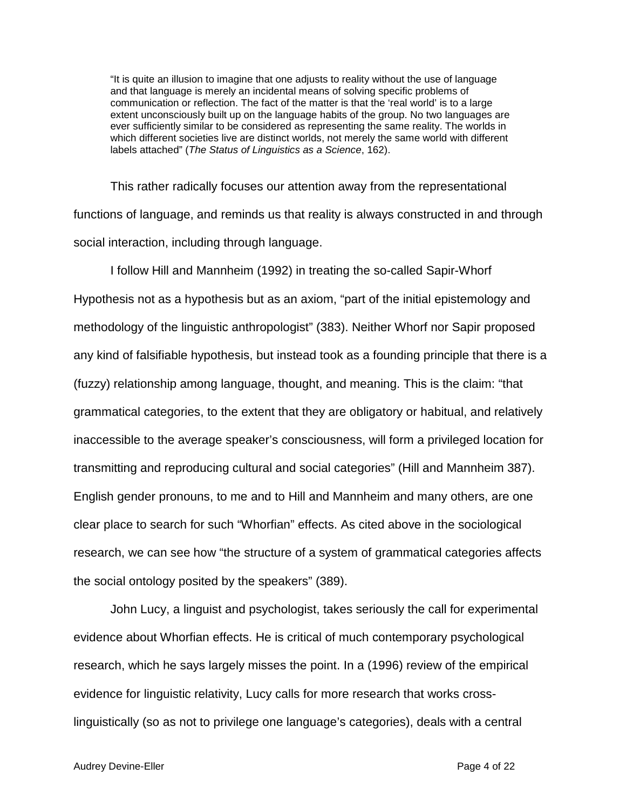"It is quite an illusion to imagine that one adjusts to reality without the use of language and that language is merely an incidental means of solving specific problems of communication or reflection. The fact of the matter is that the 'real world' is to a large extent unconsciously built up on the language habits of the group. No two languages are ever sufficiently similar to be considered as representing the same reality. The worlds in which different societies live are distinct worlds, not merely the same world with different labels attached" (*The Status of Linguistics as a Science*, 162).

This rather radically focuses our attention away from the representational functions of language, and reminds us that reality is always constructed in and through social interaction, including through language.

I follow Hill and Mannheim (1992) in treating the so-called Sapir-Whorf Hypothesis not as a hypothesis but as an axiom, "part of the initial epistemology and methodology of the linguistic anthropologist" (383). Neither Whorf nor Sapir proposed any kind of falsifiable hypothesis, but instead took as a founding principle that there is a (fuzzy) relationship among language, thought, and meaning. This is the claim: "that grammatical categories, to the extent that they are obligatory or habitual, and relatively inaccessible to the average speaker's consciousness, will form a privileged location for transmitting and reproducing cultural and social categories" (Hill and Mannheim 387). English gender pronouns, to me and to Hill and Mannheim and many others, are one clear place to search for such "Whorfian" effects. As cited above in the sociological research, we can see how "the structure of a system of grammatical categories affects the social ontology posited by the speakers" (389).

John Lucy, a linguist and psychologist, takes seriously the call for experimental evidence about Whorfian effects. He is critical of much contemporary psychological research, which he says largely misses the point. In a (1996) review of the empirical evidence for linguistic relativity, Lucy calls for more research that works crosslinguistically (so as not to privilege one language's categories), deals with a central

#### Audrey Devine-Eller **Page 4 of 22**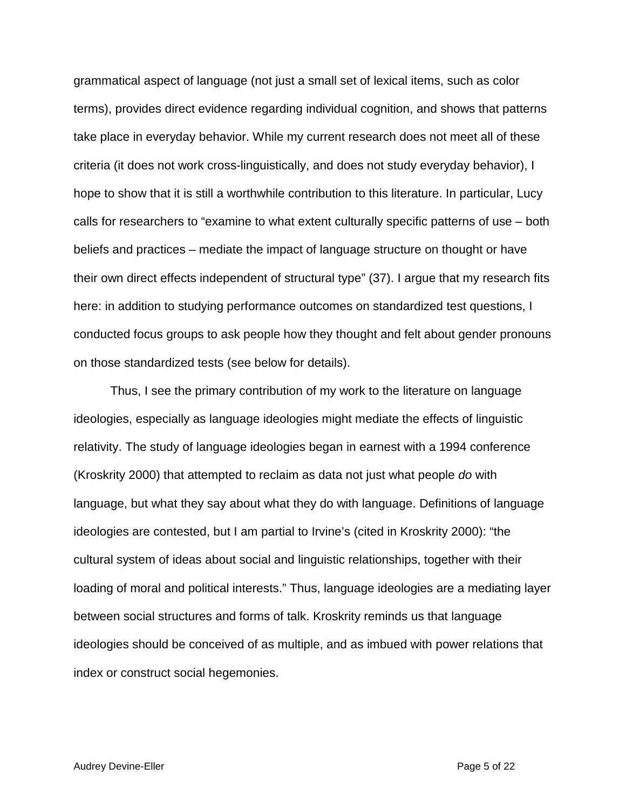grammatical aspect of language (not just a small set of lexical items, such as color terms), provides direct evidence regarding individual cognition, and shows that patterns take place in everyday behavior. While my current research does not meet all of these criteria (it does not work cross-linguistically, and does not study everyday behavior), I hope to show that it is still a worthwhile contribution to this literature. In particular, Lucy calls for researchers to "examine to what extent culturally specific patterns of use – both beliefs and practices – mediate the impact of language structure on thought or have their own direct effects independent of structural type" (37). I argue that my research fits here: in addition to studying performance outcomes on standardized test questions, I conducted focus groups to ask people how they thought and felt about gender pronouns on those standardized tests (see below for details).

Thus, I see the primary contribution of my work to the literature on language ideologies, especially as language ideologies might mediate the effects of linguistic relativity. The study of language ideologies began in earnest with a 1994 conference (Kroskrity 2000) that attempted to reclaim as data not just what people *do* with language, but what they say about what they do with language. Definitions of language ideologies are contested, but I am partial to Irvine's (cited in Kroskrity 2000): "the cultural system of ideas about social and linguistic relationships, together with their loading of moral and political interests." Thus, language ideologies are a mediating layer between social structures and forms of talk. Kroskrity reminds us that language ideologies should be conceived of as multiple, and as imbued with power relations that index or construct social hegemonies.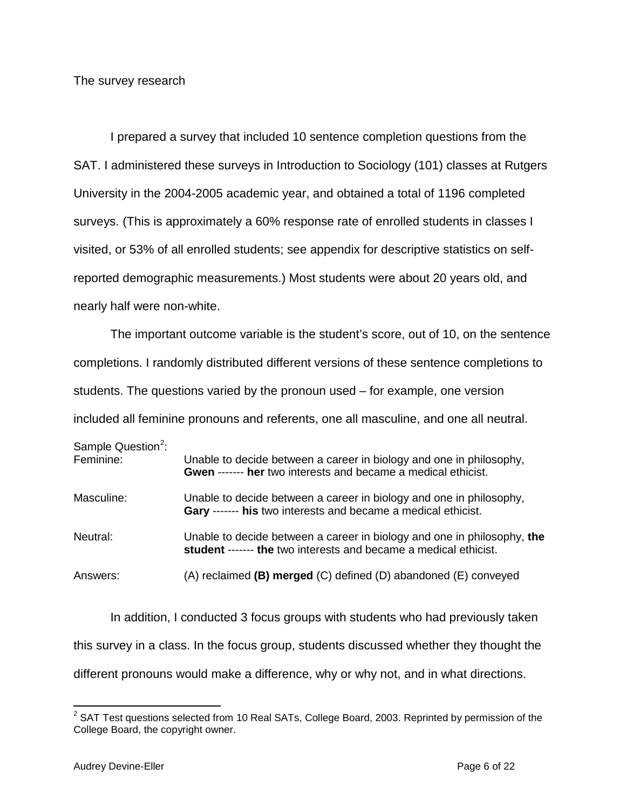The survey research

I prepared a survey that included 10 sentence completion questions from the SAT. I administered these surveys in Introduction to Sociology (101) classes at Rutgers University in the 2004-2005 academic year, and obtained a total of 1196 completed surveys. (This is approximately a 60% response rate of enrolled students in classes I visited, or 53% of all enrolled students; see appendix for descriptive statistics on selfreported demographic measurements.) Most students were about 20 years old, and nearly half were non-white.

The important outcome variable is the student's score, out of 10, on the sentence completions. I randomly distributed different versions of these sentence completions to students. The questions varied by the pronoun used – for example, one version included all feminine pronouns and referents, one all masculine, and one all neutral.

| Sample Question <sup>2</sup> :<br>Feminine: | Unable to decide between a career in biology and one in philosophy,<br><b>Gwen ------- her</b> two interests and became a medical ethicist. |
|---------------------------------------------|---------------------------------------------------------------------------------------------------------------------------------------------|
| Masculine:                                  | Unable to decide between a career in biology and one in philosophy,<br>Gary ------- his two interests and became a medical ethicist.        |
| Neutral:                                    | Unable to decide between a career in biology and one in philosophy, the<br>student ------- the two interests and became a medical ethicist. |
| Answers:                                    | $(A)$ reclaimed (B) merged $(C)$ defined $(D)$ abandoned $(E)$ conveyed                                                                     |

In addition, I conducted 3 focus groups with students who had previously taken this survey in a class. In the focus group, students discussed whether they thought the different pronouns would make a difference, why or why not, and in what directions.

<span id="page-5-0"></span> $2$  SAT Test questions selected from 10 Real SATs, College Board, 2003. Reprinted by permission of the College Board, the copyright owner.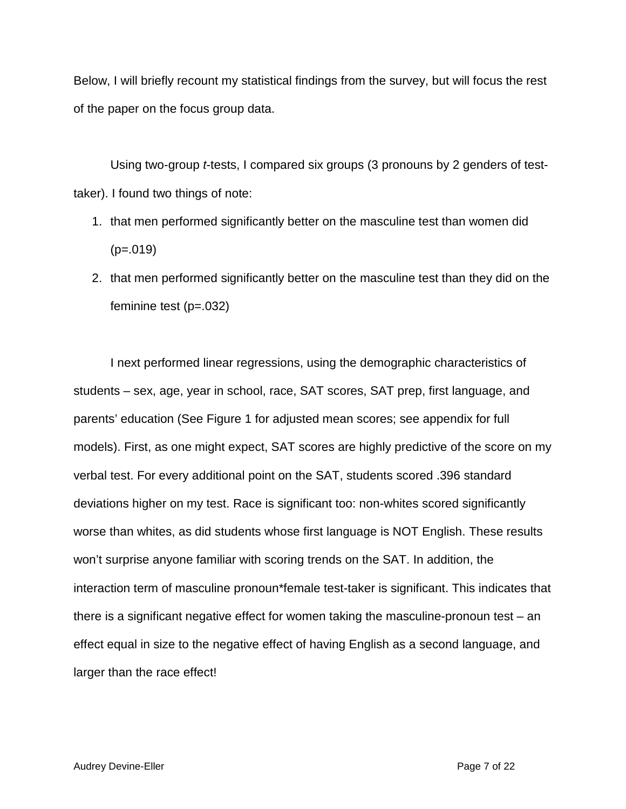Below, I will briefly recount my statistical findings from the survey, but will focus the rest of the paper on the focus group data.

Using two-group *t*-tests, I compared six groups (3 pronouns by 2 genders of testtaker). I found two things of note:

- 1. that men performed significantly better on the masculine test than women did  $(p=.019)$
- 2. that men performed significantly better on the masculine test than they did on the feminine test (p=.032)

I next performed linear regressions, using the demographic characteristics of students – sex, age, year in school, race, SAT scores, SAT prep, first language, and parents' education (See Figure 1 for adjusted mean scores; see appendix for full models). First, as one might expect, SAT scores are highly predictive of the score on my verbal test. For every additional point on the SAT, students scored .396 standard deviations higher on my test. Race is significant too: non-whites scored significantly worse than whites, as did students whose first language is NOT English. These results won't surprise anyone familiar with scoring trends on the SAT. In addition, the interaction term of masculine pronoun\*female test-taker is significant. This indicates that there is a significant negative effect for women taking the masculine-pronoun test – an effect equal in size to the negative effect of having English as a second language, and larger than the race effect!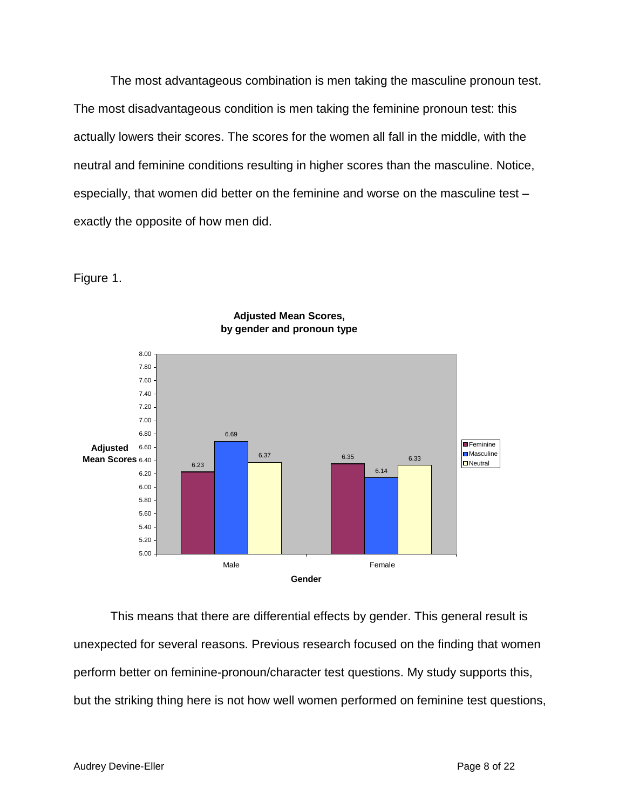The most advantageous combination is men taking the masculine pronoun test. The most disadvantageous condition is men taking the feminine pronoun test: this actually lowers their scores. The scores for the women all fall in the middle, with the neutral and feminine conditions resulting in higher scores than the masculine. Notice, especially, that women did better on the feminine and worse on the masculine test – exactly the opposite of how men did.

Figure 1.



## **Adjusted Mean Scores, by gender and pronoun type**

This means that there are differential effects by gender. This general result is unexpected for several reasons. Previous research focused on the finding that women perform better on feminine-pronoun/character test questions. My study supports this, but the striking thing here is not how well women performed on feminine test questions,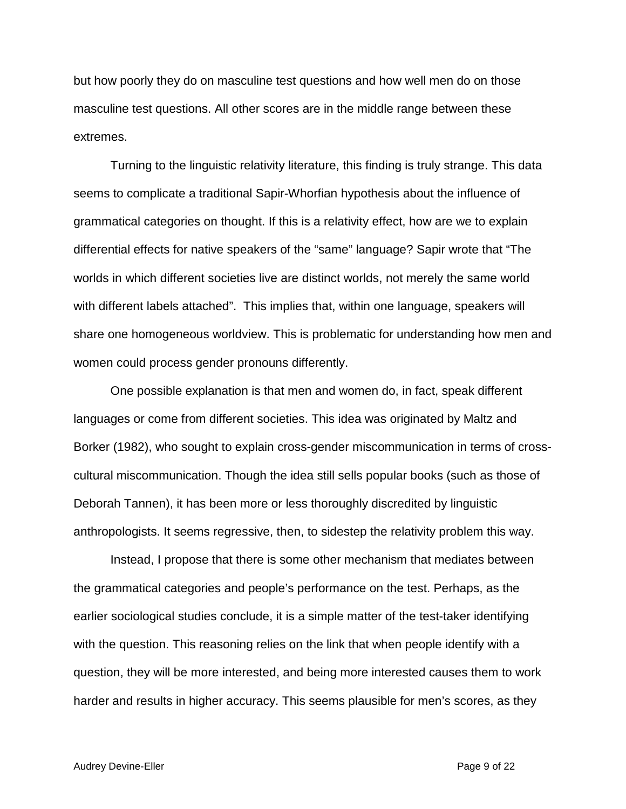but how poorly they do on masculine test questions and how well men do on those masculine test questions. All other scores are in the middle range between these extremes.

Turning to the linguistic relativity literature, this finding is truly strange. This data seems to complicate a traditional Sapir-Whorfian hypothesis about the influence of grammatical categories on thought. If this is a relativity effect, how are we to explain differential effects for native speakers of the "same" language? Sapir wrote that "The worlds in which different societies live are distinct worlds, not merely the same world with different labels attached". This implies that, within one language, speakers will share one homogeneous worldview. This is problematic for understanding how men and women could process gender pronouns differently.

One possible explanation is that men and women do, in fact, speak different languages or come from different societies. This idea was originated by Maltz and Borker (1982), who sought to explain cross-gender miscommunication in terms of crosscultural miscommunication. Though the idea still sells popular books (such as those of Deborah Tannen), it has been more or less thoroughly discredited by linguistic anthropologists. It seems regressive, then, to sidestep the relativity problem this way.

Instead, I propose that there is some other mechanism that mediates between the grammatical categories and people's performance on the test. Perhaps, as the earlier sociological studies conclude, it is a simple matter of the test-taker identifying with the question. This reasoning relies on the link that when people identify with a question, they will be more interested, and being more interested causes them to work harder and results in higher accuracy. This seems plausible for men's scores, as they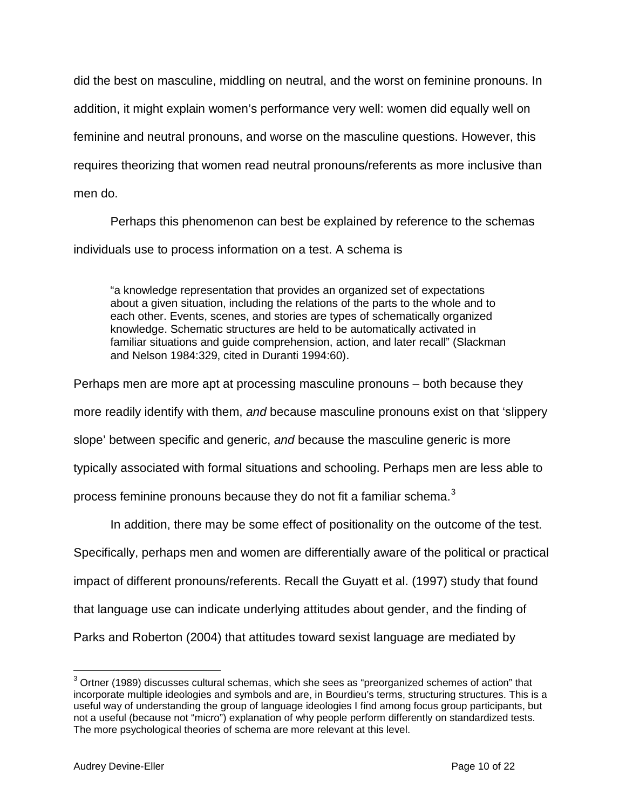did the best on masculine, middling on neutral, and the worst on feminine pronouns. In addition, it might explain women's performance very well: women did equally well on feminine and neutral pronouns, and worse on the masculine questions. However, this requires theorizing that women read neutral pronouns/referents as more inclusive than men do.

Perhaps this phenomenon can best be explained by reference to the schemas individuals use to process information on a test. A schema is

"a knowledge representation that provides an organized set of expectations about a given situation, including the relations of the parts to the whole and to each other. Events, scenes, and stories are types of schematically organized knowledge. Schematic structures are held to be automatically activated in familiar situations and guide comprehension, action, and later recall" (Slackman and Nelson 1984:329, cited in Duranti 1994:60).

Perhaps men are more apt at processing masculine pronouns – both because they more readily identify with them, *and* because masculine pronouns exist on that 'slippery slope' between specific and generic, *and* because the masculine generic is more typically associated with formal situations and schooling. Perhaps men are less able to process feminine pronouns because they do not fit a familiar schema.<sup>[3](#page-9-0)</sup>

In addition, there may be some effect of positionality on the outcome of the test.

Specifically, perhaps men and women are differentially aware of the political or practical

impact of different pronouns/referents. Recall the Guyatt et al. (1997) study that found

that language use can indicate underlying attitudes about gender, and the finding of

Parks and Roberton (2004) that attitudes toward sexist language are mediated by

<span id="page-9-0"></span><sup>&</sup>lt;sup>3</sup> Ortner (1989) discusses cultural schemas, which she sees as "preorganized schemes of action" that incorporate multiple ideologies and symbols and are, in Bourdieu's terms, structuring structures. This is a useful way of understanding the group of language ideologies I find among focus group participants, but not a useful (because not "micro") explanation of why people perform differently on standardized tests. The more psychological theories of schema are more relevant at this level.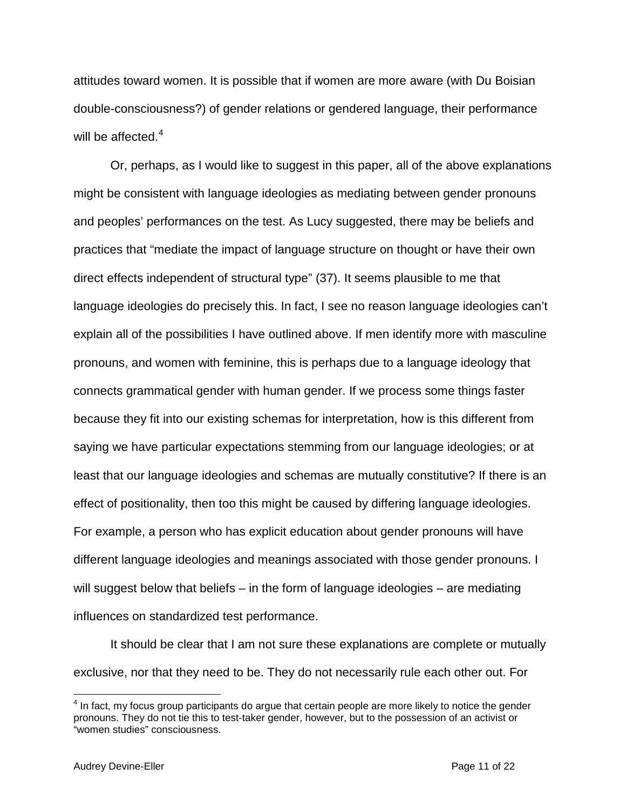attitudes toward women. It is possible that if women are more aware (with Du Boisian double-consciousness?) of gender relations or gendered language, their performance will be affected.<sup>[4](#page-10-0)</sup>

Or, perhaps, as I would like to suggest in this paper, all of the above explanations might be consistent with language ideologies as mediating between gender pronouns and peoples' performances on the test. As Lucy suggested, there may be beliefs and practices that "mediate the impact of language structure on thought or have their own direct effects independent of structural type" (37). It seems plausible to me that language ideologies do precisely this. In fact, I see no reason language ideologies can't explain all of the possibilities I have outlined above. If men identify more with masculine pronouns, and women with feminine, this is perhaps due to a language ideology that connects grammatical gender with human gender. If we process some things faster because they fit into our existing schemas for interpretation, how is this different from saying we have particular expectations stemming from our language ideologies; or at least that our language ideologies and schemas are mutually constitutive? If there is an effect of positionality, then too this might be caused by differing language ideologies. For example, a person who has explicit education about gender pronouns will have different language ideologies and meanings associated with those gender pronouns. I will suggest below that beliefs – in the form of language ideologies – are mediating influences on standardized test performance.

It should be clear that I am not sure these explanations are complete or mutually exclusive, nor that they need to be. They do not necessarily rule each other out. For

<span id="page-10-0"></span> $4$  In fact, my focus group participants do argue that certain people are more likely to notice the gender pronouns. They do not tie this to test-taker gender, however, but to the possession of an activist or "women studies" consciousness.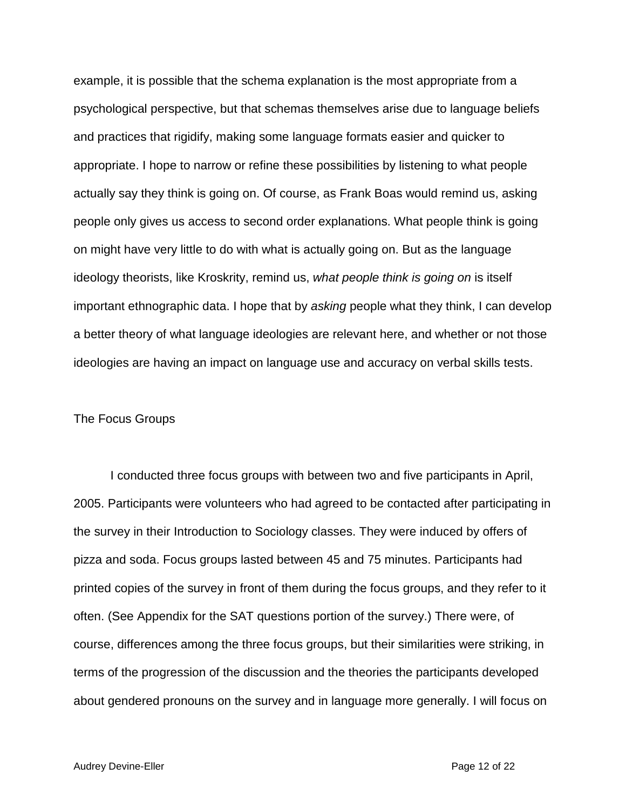example, it is possible that the schema explanation is the most appropriate from a psychological perspective, but that schemas themselves arise due to language beliefs and practices that rigidify, making some language formats easier and quicker to appropriate. I hope to narrow or refine these possibilities by listening to what people actually say they think is going on. Of course, as Frank Boas would remind us, asking people only gives us access to second order explanations. What people think is going on might have very little to do with what is actually going on. But as the language ideology theorists, like Kroskrity, remind us, *what people think is going on* is itself important ethnographic data. I hope that by *asking* people what they think, I can develop a better theory of what language ideologies are relevant here, and whether or not those ideologies are having an impact on language use and accuracy on verbal skills tests.

### The Focus Groups

I conducted three focus groups with between two and five participants in April, 2005. Participants were volunteers who had agreed to be contacted after participating in the survey in their Introduction to Sociology classes. They were induced by offers of pizza and soda. Focus groups lasted between 45 and 75 minutes. Participants had printed copies of the survey in front of them during the focus groups, and they refer to it often. (See Appendix for the SAT questions portion of the survey.) There were, of course, differences among the three focus groups, but their similarities were striking, in terms of the progression of the discussion and the theories the participants developed about gendered pronouns on the survey and in language more generally. I will focus on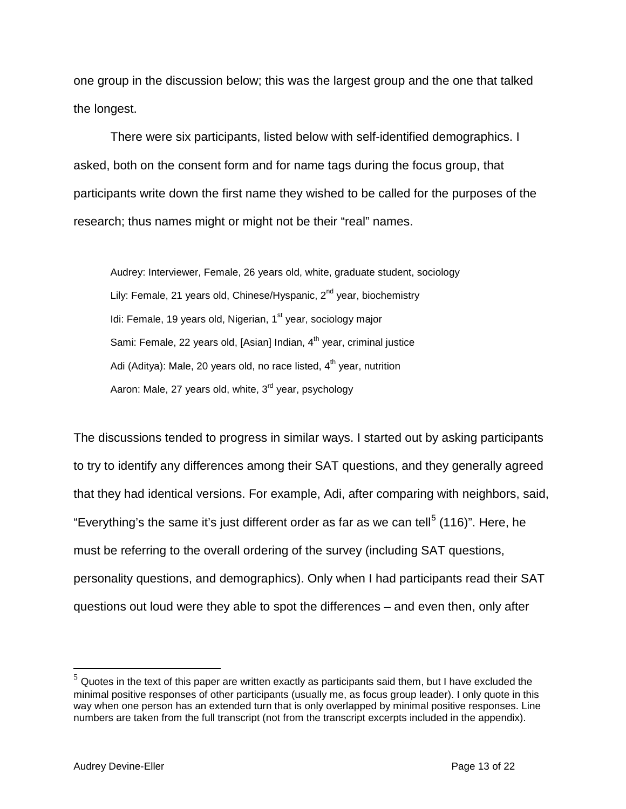one group in the discussion below; this was the largest group and the one that talked the longest.

There were six participants, listed below with self-identified demographics. I asked, both on the consent form and for name tags during the focus group, that participants write down the first name they wished to be called for the purposes of the research; thus names might or might not be their "real" names.

Audrey: Interviewer, Female, 26 years old, white, graduate student, sociology Lily: Female, 21 years old, Chinese/Hyspanic, 2<sup>nd</sup> year, biochemistry Idi: Female, 19 years old, Nigerian,  $1<sup>st</sup>$  year, sociology major Sami: Female, 22 years old, [Asian] Indian,  $4<sup>th</sup>$  year, criminal justice Adi (Aditya): Male, 20 years old, no race listed,  $4<sup>th</sup>$  year, nutrition Aaron: Male, 27 years old, white, 3<sup>rd</sup> year, psychology

The discussions tended to progress in similar ways. I started out by asking participants to try to identify any differences among their SAT questions, and they generally agreed that they had identical versions. For example, Adi, after comparing with neighbors, said, "Everything's the same it's just different order as far as we can tell<sup>[5](#page-12-0)</sup> (116)". Here, he must be referring to the overall ordering of the survey (including SAT questions, personality questions, and demographics). Only when I had participants read their SAT questions out loud were they able to spot the differences – and even then, only after

<span id="page-12-0"></span> $5$  Quotes in the text of this paper are written exactly as participants said them, but I have excluded the minimal positive responses of other participants (usually me, as focus group leader). I only quote in this way when one person has an extended turn that is only overlapped by minimal positive responses. Line numbers are taken from the full transcript (not from the transcript excerpts included in the appendix).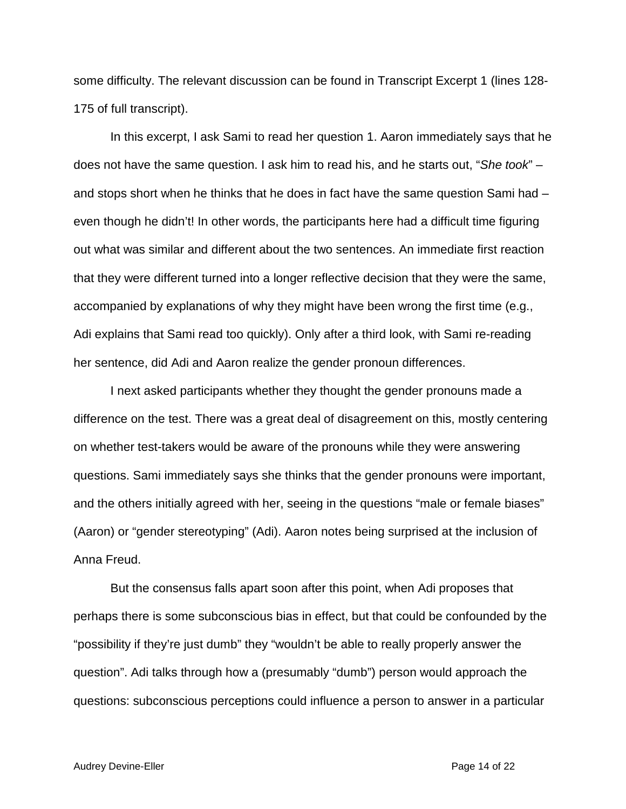some difficulty. The relevant discussion can be found in Transcript Excerpt 1 (lines 128- 175 of full transcript).

In this excerpt, I ask Sami to read her question 1. Aaron immediately says that he does not have the same question. I ask him to read his, and he starts out, "*She took*" – and stops short when he thinks that he does in fact have the same question Sami had – even though he didn't! In other words, the participants here had a difficult time figuring out what was similar and different about the two sentences. An immediate first reaction that they were different turned into a longer reflective decision that they were the same, accompanied by explanations of why they might have been wrong the first time (e.g., Adi explains that Sami read too quickly). Only after a third look, with Sami re-reading her sentence, did Adi and Aaron realize the gender pronoun differences.

I next asked participants whether they thought the gender pronouns made a difference on the test. There was a great deal of disagreement on this, mostly centering on whether test-takers would be aware of the pronouns while they were answering questions. Sami immediately says she thinks that the gender pronouns were important, and the others initially agreed with her, seeing in the questions "male or female biases" (Aaron) or "gender stereotyping" (Adi). Aaron notes being surprised at the inclusion of Anna Freud.

But the consensus falls apart soon after this point, when Adi proposes that perhaps there is some subconscious bias in effect, but that could be confounded by the "possibility if they're just dumb" they "wouldn't be able to really properly answer the question". Adi talks through how a (presumably "dumb") person would approach the questions: subconscious perceptions could influence a person to answer in a particular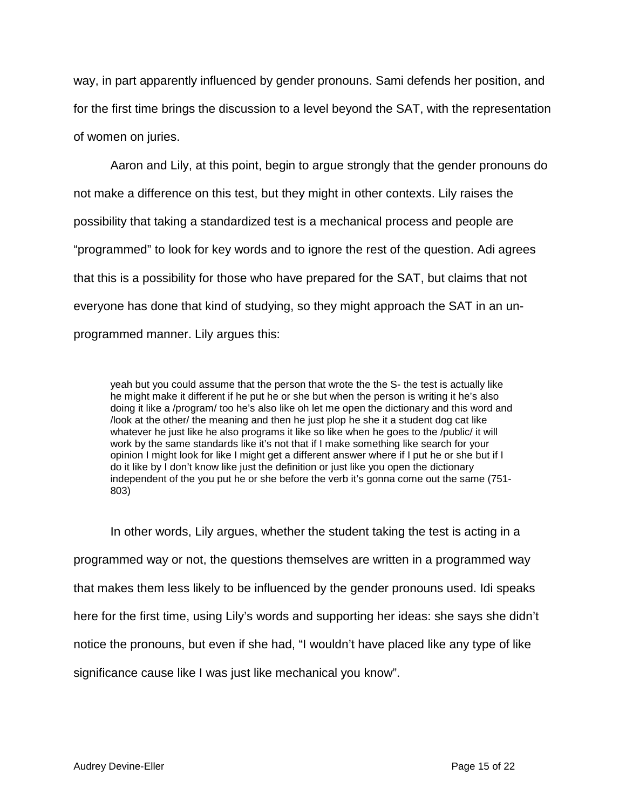way, in part apparently influenced by gender pronouns. Sami defends her position, and for the first time brings the discussion to a level beyond the SAT, with the representation of women on juries.

Aaron and Lily, at this point, begin to argue strongly that the gender pronouns do not make a difference on this test, but they might in other contexts. Lily raises the possibility that taking a standardized test is a mechanical process and people are "programmed" to look for key words and to ignore the rest of the question. Adi agrees that this is a possibility for those who have prepared for the SAT, but claims that not everyone has done that kind of studying, so they might approach the SAT in an unprogrammed manner. Lily argues this:

yeah but you could assume that the person that wrote the the S- the test is actually like he might make it different if he put he or she but when the person is writing it he's also doing it like a /program/ too he's also like oh let me open the dictionary and this word and /look at the other/ the meaning and then he just plop he she it a student dog cat like whatever he just like he also programs it like so like when he goes to the /public/ it will work by the same standards like it's not that if I make something like search for your opinion I might look for like I might get a different answer where if I put he or she but if I do it like by I don't know like just the definition or just like you open the dictionary independent of the you put he or she before the verb it's gonna come out the same (751- 803)

In other words, Lily argues, whether the student taking the test is acting in a programmed way or not, the questions themselves are written in a programmed way that makes them less likely to be influenced by the gender pronouns used. Idi speaks here for the first time, using Lily's words and supporting her ideas: she says she didn't notice the pronouns, but even if she had, "I wouldn't have placed like any type of like significance cause like I was just like mechanical you know".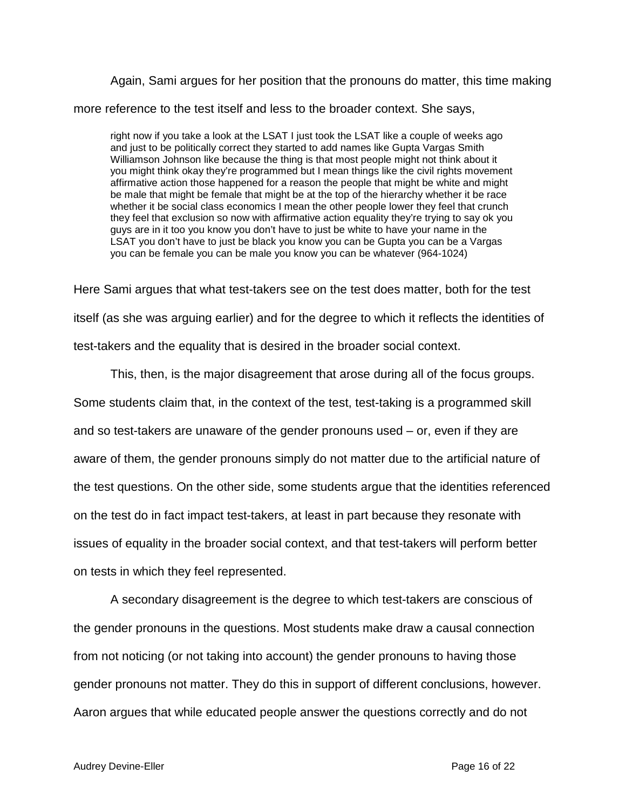Again, Sami argues for her position that the pronouns do matter, this time making more reference to the test itself and less to the broader context. She says,

right now if you take a look at the LSAT I just took the LSAT like a couple of weeks ago and just to be politically correct they started to add names like Gupta Vargas Smith Williamson Johnson like because the thing is that most people might not think about it you might think okay they're programmed but I mean things like the civil rights movement affirmative action those happened for a reason the people that might be white and might be male that might be female that might be at the top of the hierarchy whether it be race whether it be social class economics I mean the other people lower they feel that crunch they feel that exclusion so now with affirmative action equality they're trying to say ok you guys are in it too you know you don't have to just be white to have your name in the LSAT you don't have to just be black you know you can be Gupta you can be a Vargas you can be female you can be male you know you can be whatever (964-1024)

Here Sami argues that what test-takers see on the test does matter, both for the test itself (as she was arguing earlier) and for the degree to which it reflects the identities of test-takers and the equality that is desired in the broader social context.

This, then, is the major disagreement that arose during all of the focus groups. Some students claim that, in the context of the test, test-taking is a programmed skill and so test-takers are unaware of the gender pronouns used – or, even if they are aware of them, the gender pronouns simply do not matter due to the artificial nature of the test questions. On the other side, some students argue that the identities referenced on the test do in fact impact test-takers, at least in part because they resonate with issues of equality in the broader social context, and that test-takers will perform better on tests in which they feel represented.

A secondary disagreement is the degree to which test-takers are conscious of the gender pronouns in the questions. Most students make draw a causal connection from not noticing (or not taking into account) the gender pronouns to having those gender pronouns not matter. They do this in support of different conclusions, however. Aaron argues that while educated people answer the questions correctly and do not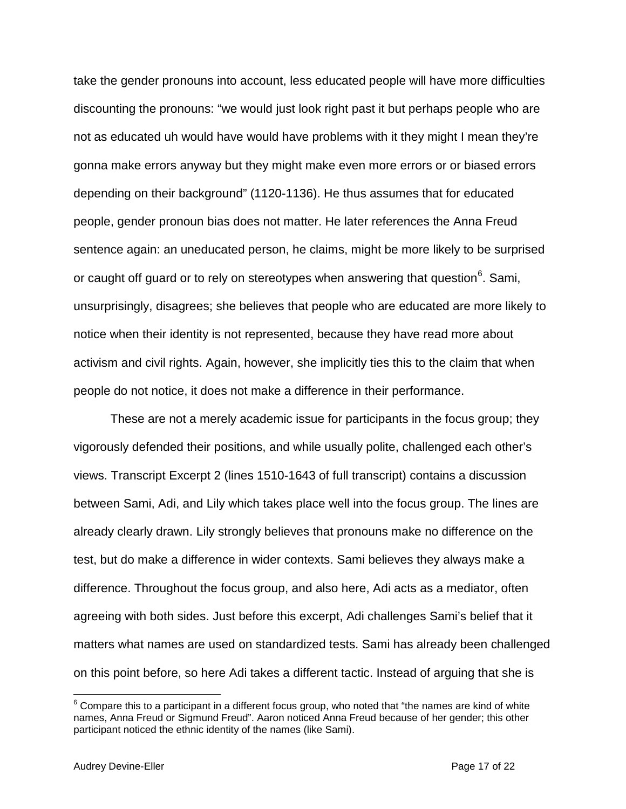take the gender pronouns into account, less educated people will have more difficulties discounting the pronouns: "we would just look right past it but perhaps people who are not as educated uh would have would have problems with it they might I mean they're gonna make errors anyway but they might make even more errors or or biased errors depending on their background" (1120-1136). He thus assumes that for educated people, gender pronoun bias does not matter. He later references the Anna Freud sentence again: an uneducated person, he claims, might be more likely to be surprised or caught off guard or to rely on stereotypes when answering that question $^6$  $^6$ . Sami, unsurprisingly, disagrees; she believes that people who are educated are more likely to notice when their identity is not represented, because they have read more about activism and civil rights. Again, however, she implicitly ties this to the claim that when people do not notice, it does not make a difference in their performance.

These are not a merely academic issue for participants in the focus group; they vigorously defended their positions, and while usually polite, challenged each other's views. Transcript Excerpt 2 (lines 1510-1643 of full transcript) contains a discussion between Sami, Adi, and Lily which takes place well into the focus group. The lines are already clearly drawn. Lily strongly believes that pronouns make no difference on the test, but do make a difference in wider contexts. Sami believes they always make a difference. Throughout the focus group, and also here, Adi acts as a mediator, often agreeing with both sides. Just before this excerpt, Adi challenges Sami's belief that it matters what names are used on standardized tests. Sami has already been challenged on this point before, so here Adi takes a different tactic. Instead of arguing that she is

<span id="page-16-0"></span> $6$  Compare this to a participant in a different focus group, who noted that "the names are kind of white names, Anna Freud or Sigmund Freud". Aaron noticed Anna Freud because of her gender; this other participant noticed the ethnic identity of the names (like Sami).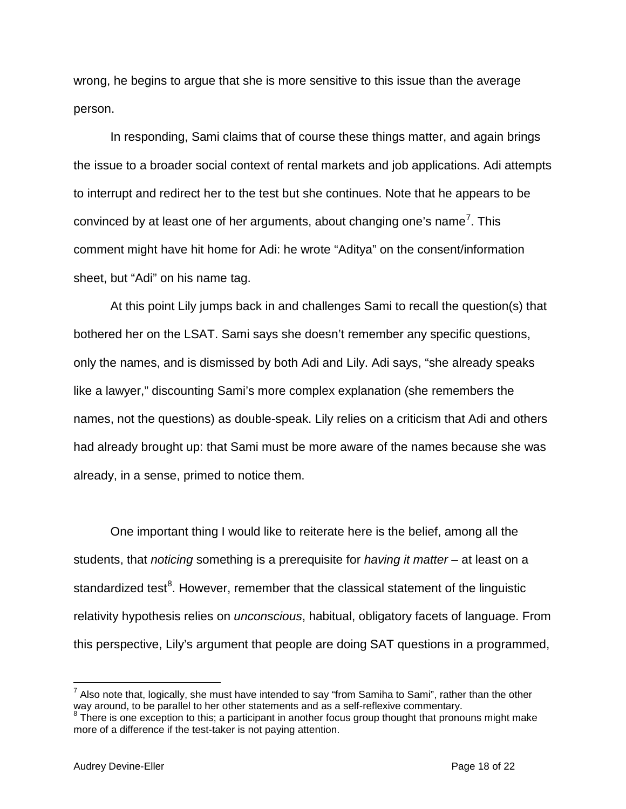wrong, he begins to argue that she is more sensitive to this issue than the average person.

In responding, Sami claims that of course these things matter, and again brings the issue to a broader social context of rental markets and job applications. Adi attempts to interrupt and redirect her to the test but she continues. Note that he appears to be convinced by at least one of her arguments, about changing one's name<sup>[7](#page-17-0)</sup>. This comment might have hit home for Adi: he wrote "Aditya" on the consent/information sheet, but "Adi" on his name tag.

At this point Lily jumps back in and challenges Sami to recall the question(s) that bothered her on the LSAT. Sami says she doesn't remember any specific questions, only the names, and is dismissed by both Adi and Lily. Adi says, "she already speaks like a lawyer," discounting Sami's more complex explanation (she remembers the names, not the questions) as double-speak. Lily relies on a criticism that Adi and others had already brought up: that Sami must be more aware of the names because she was already, in a sense, primed to notice them.

One important thing I would like to reiterate here is the belief, among all the students, that *noticing* something is a prerequisite for *having it matter* – at least on a standardized test<sup>[8](#page-17-1)</sup>. However, remember that the classical statement of the linguistic relativity hypothesis relies on *unconscious*, habitual, obligatory facets of language. From this perspective, Lily's argument that people are doing SAT questions in a programmed,

<span id="page-17-0"></span> $^7$  Also note that, logically, she must have intended to say "from Samiha to Sami", rather than the other way around, to be parallel to her other statements and as a self-reflexive commentary.

<span id="page-17-1"></span><sup>&</sup>lt;sup>8</sup> There is one exception to this; a participant in another focus group thought that pronouns might make more of a difference if the test-taker is not paying attention.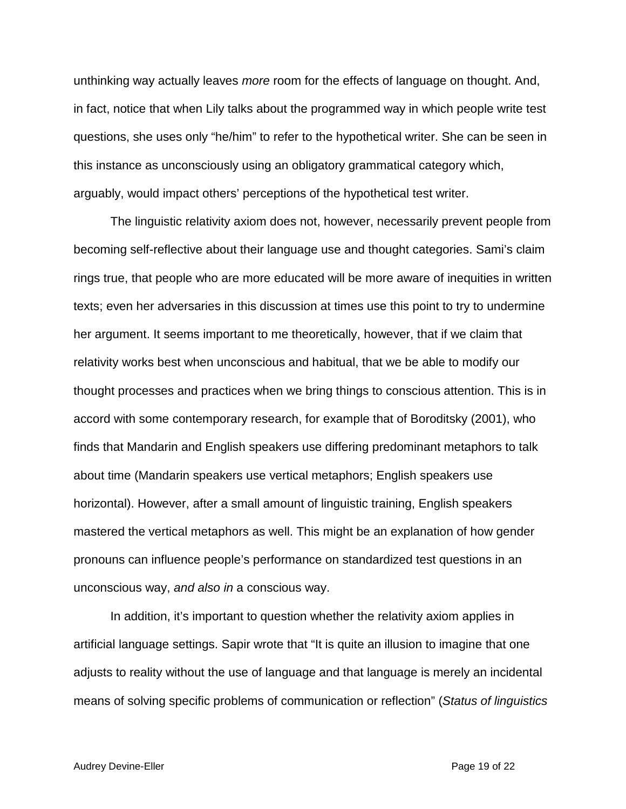unthinking way actually leaves *more* room for the effects of language on thought. And, in fact, notice that when Lily talks about the programmed way in which people write test questions, she uses only "he/him" to refer to the hypothetical writer. She can be seen in this instance as unconsciously using an obligatory grammatical category which, arguably, would impact others' perceptions of the hypothetical test writer.

The linguistic relativity axiom does not, however, necessarily prevent people from becoming self-reflective about their language use and thought categories. Sami's claim rings true, that people who are more educated will be more aware of inequities in written texts; even her adversaries in this discussion at times use this point to try to undermine her argument. It seems important to me theoretically, however, that if we claim that relativity works best when unconscious and habitual, that we be able to modify our thought processes and practices when we bring things to conscious attention. This is in accord with some contemporary research, for example that of Boroditsky (2001), who finds that Mandarin and English speakers use differing predominant metaphors to talk about time (Mandarin speakers use vertical metaphors; English speakers use horizontal). However, after a small amount of linguistic training, English speakers mastered the vertical metaphors as well. This might be an explanation of how gender pronouns can influence people's performance on standardized test questions in an unconscious way, *and also in* a conscious way.

In addition, it's important to question whether the relativity axiom applies in artificial language settings. Sapir wrote that "It is quite an illusion to imagine that one adjusts to reality without the use of language and that language is merely an incidental means of solving specific problems of communication or reflection" (*Status of linguistics*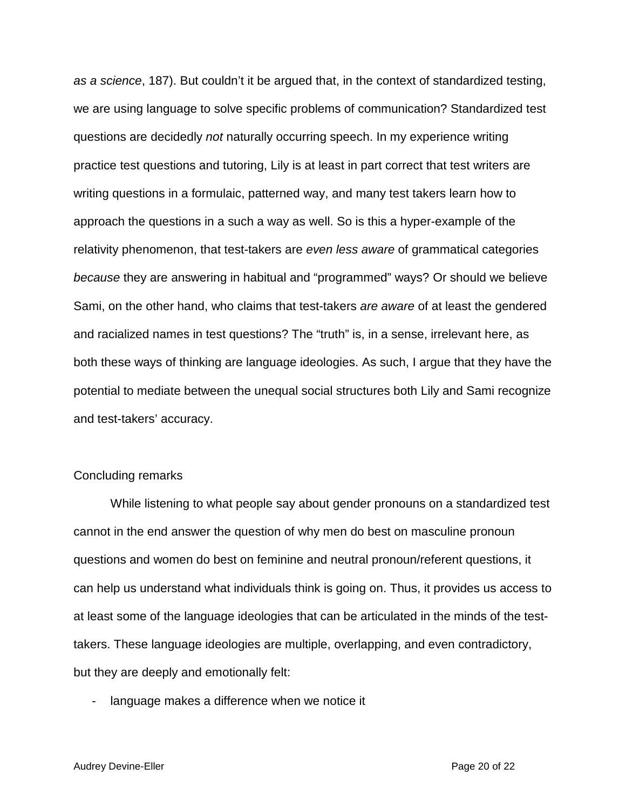*as a science*, 187). But couldn't it be argued that, in the context of standardized testing, we are using language to solve specific problems of communication? Standardized test questions are decidedly *not* naturally occurring speech. In my experience writing practice test questions and tutoring, Lily is at least in part correct that test writers are writing questions in a formulaic, patterned way, and many test takers learn how to approach the questions in a such a way as well. So is this a hyper-example of the relativity phenomenon, that test-takers are *even less aware* of grammatical categories *because* they are answering in habitual and "programmed" ways? Or should we believe Sami, on the other hand, who claims that test-takers *are aware* of at least the gendered and racialized names in test questions? The "truth" is, in a sense, irrelevant here, as both these ways of thinking are language ideologies. As such, I argue that they have the potential to mediate between the unequal social structures both Lily and Sami recognize and test-takers' accuracy.

#### Concluding remarks

While listening to what people say about gender pronouns on a standardized test cannot in the end answer the question of why men do best on masculine pronoun questions and women do best on feminine and neutral pronoun/referent questions, it can help us understand what individuals think is going on. Thus, it provides us access to at least some of the language ideologies that can be articulated in the minds of the testtakers. These language ideologies are multiple, overlapping, and even contradictory, but they are deeply and emotionally felt:

- language makes a difference when we notice it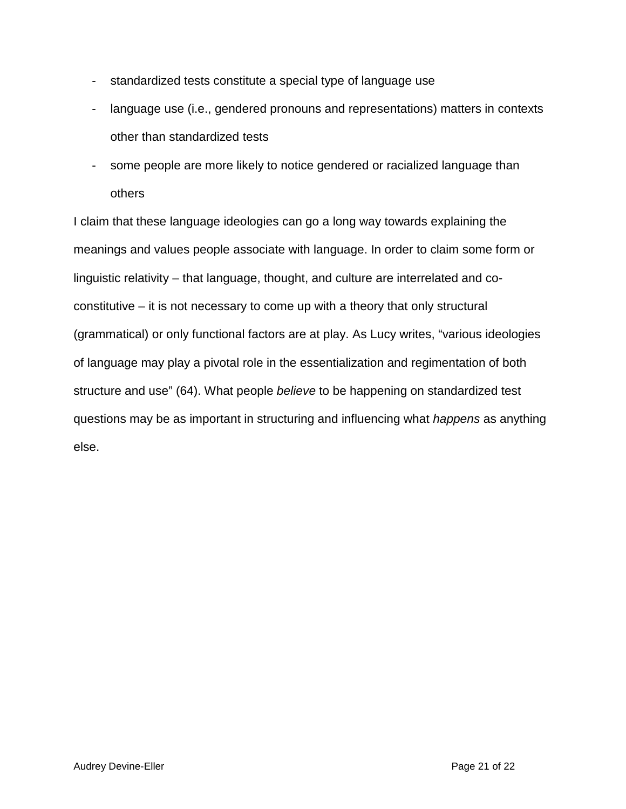- standardized tests constitute a special type of language use
- language use (i.e., gendered pronouns and representations) matters in contexts other than standardized tests
- some people are more likely to notice gendered or racialized language than others

I claim that these language ideologies can go a long way towards explaining the meanings and values people associate with language. In order to claim some form or linguistic relativity – that language, thought, and culture are interrelated and coconstitutive – it is not necessary to come up with a theory that only structural (grammatical) or only functional factors are at play. As Lucy writes, "various ideologies of language may play a pivotal role in the essentialization and regimentation of both structure and use" (64). What people *believe* to be happening on standardized test questions may be as important in structuring and influencing what *happens* as anything else.